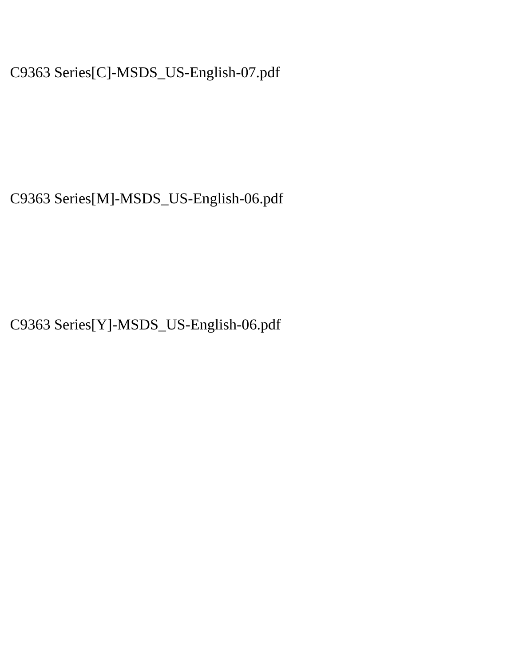C9363 Series[C]-MSDS\_US-English-07.pdf

C9363 Series[M]-MSDS\_US-English-06.pdf

C9363 Series[Y]-MSDS\_US-English-06.pdf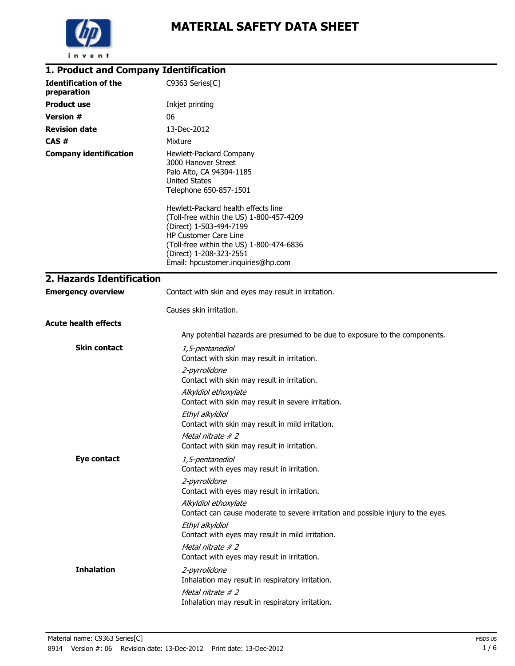

| 1. Product and Company Identification       |                                                                                                                                                                                                                                                  |
|---------------------------------------------|--------------------------------------------------------------------------------------------------------------------------------------------------------------------------------------------------------------------------------------------------|
| <b>Identification of the</b><br>preparation | C9363 Series[C]                                                                                                                                                                                                                                  |
| <b>Product use</b>                          | Inkjet printing                                                                                                                                                                                                                                  |
| <b>Version #</b>                            | 06                                                                                                                                                                                                                                               |
| <b>Revision date</b>                        | 13-Dec-2012                                                                                                                                                                                                                                      |
| CAS#                                        | Mixture                                                                                                                                                                                                                                          |
| <b>Company identification</b>               | Hewlett-Packard Company<br>3000 Hanover Street<br>Palo Alto, CA 94304-1185<br><b>United States</b><br>Telephone 650-857-1501                                                                                                                     |
|                                             | Hewlett-Packard health effects line<br>(Toll-free within the US) 1-800-457-4209<br>(Direct) 1-503-494-7199<br>HP Customer Care Line<br>(Toll-free within the US) 1-800-474-6836<br>(Direct) 1-208-323-2551<br>Email: hpcustomer.inquiries@hp.com |
| 2. Hazards Identification                   |                                                                                                                                                                                                                                                  |
| <b>Emergency overview</b>                   | Contact with skin and eyes may result in irritation.                                                                                                                                                                                             |
|                                             | Causes skin irritation.                                                                                                                                                                                                                          |
| <b>Acute health effects</b>                 |                                                                                                                                                                                                                                                  |
|                                             | Any potential hazards are presumed to be due to exposure to the components.                                                                                                                                                                      |
| <b>Skin contact</b>                         | 1,5-pentanediol<br>Contact with skin may result in irritation.                                                                                                                                                                                   |
|                                             | 2-pyrrolidone<br>Contact with skin may result in irritation.                                                                                                                                                                                     |
|                                             | Alkyldiol ethoxylate<br>Contact with skin may result in severe irritation.                                                                                                                                                                       |
|                                             | Ethyl alkyldiol<br>Contact with skin may result in mild irritation.                                                                                                                                                                              |
|                                             | Metal nitrate $# 2$<br>Contact with skin may result in irritation.                                                                                                                                                                               |
| <b>Eye contact</b>                          | 1,5-pentanediol<br>Contact with eyes may result in irritation.                                                                                                                                                                                   |
|                                             | 2-pyrrolidone<br>Contact with eyes may result in irritation.                                                                                                                                                                                     |
|                                             | Alkyldiol ethoxylate<br>Contact can cause moderate to severe irritation and possible injury to the eyes.                                                                                                                                         |
|                                             | Ethyl alkyldiol<br>Contact with eyes may result in mild irritation.                                                                                                                                                                              |
|                                             | Metal nitrate #2<br>Contact with eyes may result in irritation.                                                                                                                                                                                  |
| <b>Inhalation</b>                           | 2-pyrrolidone<br>Inhalation may result in respiratory irritation.                                                                                                                                                                                |
|                                             | Metal nitrate #2<br>Inhalation may result in respiratory irritation.                                                                                                                                                                             |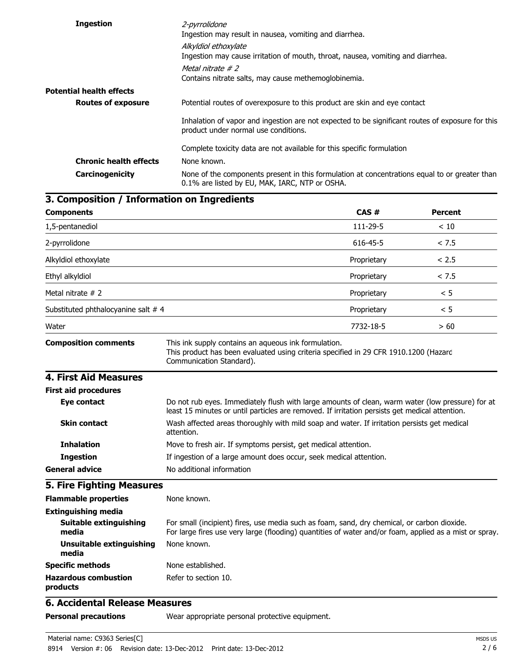| <b>Ingestion</b>                | 2-pyrrolidone                                                                                                                                   |
|---------------------------------|-------------------------------------------------------------------------------------------------------------------------------------------------|
|                                 | Ingestion may result in nausea, vomiting and diarrhea.                                                                                          |
|                                 | Alkyldiol ethoxylate                                                                                                                            |
|                                 | Ingestion may cause irritation of mouth, throat, nausea, vomiting and diarrhea.                                                                 |
|                                 | Metal nitrate #2                                                                                                                                |
|                                 | Contains nitrate salts, may cause methemoglobinemia.                                                                                            |
| <b>Potential health effects</b> |                                                                                                                                                 |
| <b>Routes of exposure</b>       | Potential routes of overexposure to this product are skin and eye contact                                                                       |
|                                 | Inhalation of vapor and ingestion are not expected to be significant routes of exposure for this<br>product under normal use conditions.        |
|                                 | Complete toxicity data are not available for this specific formulation                                                                          |
| <b>Chronic health effects</b>   | None known.                                                                                                                                     |
| Carcinogenicity                 | None of the components present in this formulation at concentrations equal to or greater than<br>0.1% are listed by EU, MAK, IARC, NTP or OSHA. |

|                                        | 3. Composition / Information on Ingredients                                                                                                                                                           |                                                                                             |                |
|----------------------------------------|-------------------------------------------------------------------------------------------------------------------------------------------------------------------------------------------------------|---------------------------------------------------------------------------------------------|----------------|
| <b>Components</b>                      |                                                                                                                                                                                                       | CAS#                                                                                        | <b>Percent</b> |
| 1,5-pentanediol                        |                                                                                                                                                                                                       | 111-29-5                                                                                    | < 10           |
| 2-pyrrolidone                          |                                                                                                                                                                                                       | 616-45-5                                                                                    | < 7.5          |
| Alkyldiol ethoxylate                   |                                                                                                                                                                                                       | Proprietary                                                                                 | < 2.5          |
| Ethyl alkyldiol                        |                                                                                                                                                                                                       | Proprietary                                                                                 | < 7.5          |
| Metal nitrate $# 2$                    |                                                                                                                                                                                                       | Proprietary                                                                                 | < 5            |
| Substituted phthalocyanine salt # 4    |                                                                                                                                                                                                       | Proprietary                                                                                 | < 5            |
| Water                                  |                                                                                                                                                                                                       | 7732-18-5                                                                                   | > 60           |
| <b>Composition comments</b>            | This ink supply contains an aqueous ink formulation.<br>This product has been evaluated using criteria specified in 29 CFR 1910.1200 (Hazard<br>Communication Standard).                              |                                                                                             |                |
| 4. First Aid Measures                  |                                                                                                                                                                                                       |                                                                                             |                |
| <b>First aid procedures</b>            |                                                                                                                                                                                                       |                                                                                             |                |
| Eye contact                            | Do not rub eyes. Immediately flush with large amounts of clean, warm water (low pressure) for at<br>least 15 minutes or until particles are removed. If irritation persists get medical attention.    |                                                                                             |                |
| <b>Skin contact</b>                    | attention.                                                                                                                                                                                            | Wash affected areas thoroughly with mild soap and water. If irritation persists get medical |                |
| <b>Inhalation</b>                      | Move to fresh air. If symptoms persist, get medical attention.                                                                                                                                        |                                                                                             |                |
| <b>Ingestion</b>                       | If ingestion of a large amount does occur, seek medical attention.                                                                                                                                    |                                                                                             |                |
| <b>General advice</b>                  | No additional information                                                                                                                                                                             |                                                                                             |                |
| <b>5. Fire Fighting Measures</b>       |                                                                                                                                                                                                       |                                                                                             |                |
| <b>Flammable properties</b>            | None known.                                                                                                                                                                                           |                                                                                             |                |
| <b>Extinguishing media</b>             |                                                                                                                                                                                                       |                                                                                             |                |
| <b>Suitable extinguishing</b><br>media | For small (incipient) fires, use media such as foam, sand, dry chemical, or carbon dioxide.<br>For large fires use very large (flooding) quantities of water and/or foam, applied as a mist or spray. |                                                                                             |                |

| Unsuitable extinguishing | None known.       |
|--------------------------|-------------------|
| media                    |                   |
| <b>Specific methods</b>  | None established. |

**Hazardous combustion products** Refer to section 10.

### **6. Accidental Release Measures**

**Personal precautions** Wear appropriate personal protective equipment.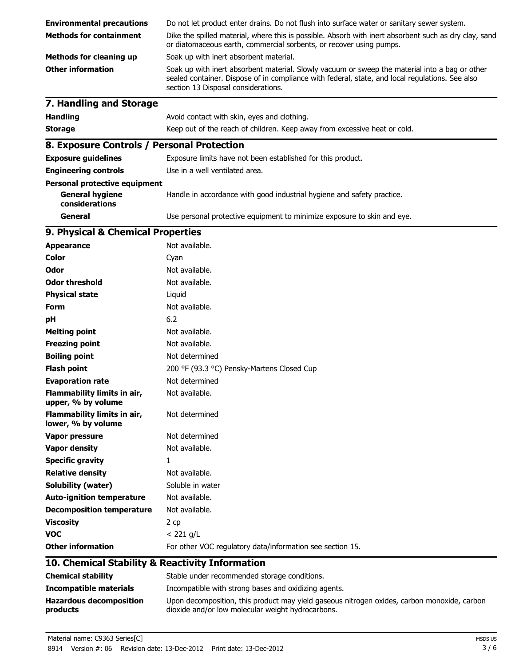| <b>Environmental precautions</b> | Do not let product enter drains. Do not flush into surface water or sanitary sewer system.                                                                                                                                               |
|----------------------------------|------------------------------------------------------------------------------------------------------------------------------------------------------------------------------------------------------------------------------------------|
| <b>Methods for containment</b>   | Dike the spilled material, where this is possible. Absorb with inert absorbent such as dry clay, sand<br>or diatomaceous earth, commercial sorbents, or recover using pumps.                                                             |
| <b>Methods for cleaning up</b>   | Soak up with inert absorbent material.                                                                                                                                                                                                   |
| <b>Other information</b>         | Soak up with inert absorbent material. Slowly vacuum or sweep the material into a bag or other<br>sealed container. Dispose of in compliance with federal, state, and local regulations. See also<br>section 13 Disposal considerations. |
| 7. Handling and Storage          |                                                                                                                                                                                                                                          |
| <b>Handling</b>                  | Avoid contact with skin, eyes and clothing.                                                                                                                                                                                              |
| <b>Storage</b>                   | Keep out of the reach of children. Keep away from excessive heat or cold.                                                                                                                                                                |

### **8. Exposure Controls / Personal Protection**

| <b>Exposure quidelines</b>               | Exposure limits have not been established for this product.             |
|------------------------------------------|-------------------------------------------------------------------------|
| <b>Engineering controls</b>              | Use in a well ventilated area.                                          |
| <b>Personal protective equipment</b>     |                                                                         |
| <b>General hygiene</b><br>considerations | Handle in accordance with good industrial hygiene and safety practice.  |
| General                                  | Use personal protective equipment to minimize exposure to skin and eye. |

## **9. Physical & Chemical Properties**

| <b>Appearance</b>                                 | Not available.                                            |
|---------------------------------------------------|-----------------------------------------------------------|
| <b>Color</b>                                      | Cyan                                                      |
| <b>Odor</b>                                       | Not available.                                            |
| <b>Odor threshold</b>                             | Not available.                                            |
| <b>Physical state</b>                             | Liquid                                                    |
| <b>Form</b>                                       | Not available.                                            |
| рH                                                | 6.2                                                       |
| <b>Melting point</b>                              | Not available.                                            |
| <b>Freezing point</b>                             | Not available.                                            |
| <b>Boiling point</b>                              | Not determined                                            |
| <b>Flash point</b>                                | 200 °F (93.3 °C) Pensky-Martens Closed Cup                |
| <b>Evaporation rate</b>                           | Not determined                                            |
| Flammability limits in air,<br>upper, % by volume | Not available.                                            |
| Flammability limits in air,<br>lower, % by volume | Not determined                                            |
| <b>Vapor pressure</b>                             | Not determined                                            |
| <b>Vapor density</b>                              | Not available.                                            |
| <b>Specific gravity</b>                           | 1                                                         |
| <b>Relative density</b>                           | Not available.                                            |
| <b>Solubility (water)</b>                         | Soluble in water                                          |
| <b>Auto-ignition temperature</b>                  | Not available.                                            |
| <b>Decomposition temperature</b>                  | Not available.                                            |
| <b>Viscosity</b>                                  | 2 cp                                                      |
| <b>VOC</b>                                        | $< 221$ g/L                                               |
| <b>Other information</b>                          | For other VOC regulatory data/information see section 15. |
|                                                   |                                                           |

### **10. Chemical Stability & Reactivity Information**

| <b>Chemical stability</b>                  | Stable under recommended storage conditions.                                                                                                     |
|--------------------------------------------|--------------------------------------------------------------------------------------------------------------------------------------------------|
| Incompatible materials                     | Incompatible with strong bases and oxidizing agents.                                                                                             |
| <b>Hazardous decomposition</b><br>products | Upon decomposition, this product may yield gaseous nitrogen oxides, carbon monoxide, carbon<br>dioxide and/or low molecular weight hydrocarbons. |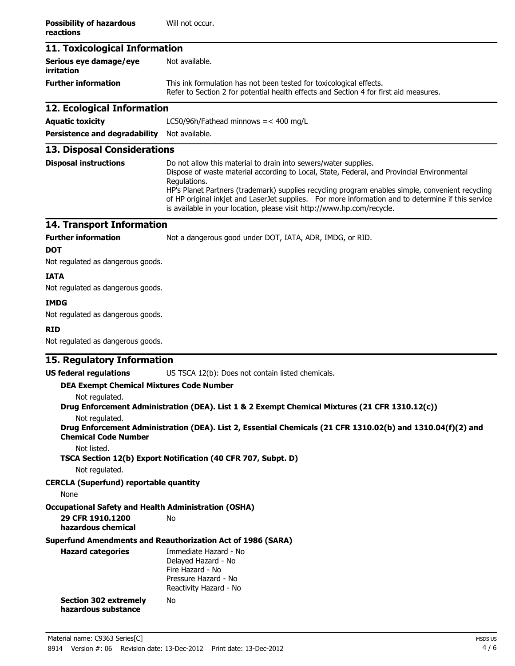| <b>Possibility of hazardous</b><br>reactions                                                                                                       | Will not occur.                                                                                                                                                                                                                                                                                                                                                                                                                                                   |
|----------------------------------------------------------------------------------------------------------------------------------------------------|-------------------------------------------------------------------------------------------------------------------------------------------------------------------------------------------------------------------------------------------------------------------------------------------------------------------------------------------------------------------------------------------------------------------------------------------------------------------|
| 11. Toxicological Information                                                                                                                      |                                                                                                                                                                                                                                                                                                                                                                                                                                                                   |
| Serious eye damage/eye<br>irritation                                                                                                               | Not available.                                                                                                                                                                                                                                                                                                                                                                                                                                                    |
| <b>Further information</b>                                                                                                                         | This ink formulation has not been tested for toxicological effects.<br>Refer to Section 2 for potential health effects and Section 4 for first aid measures.                                                                                                                                                                                                                                                                                                      |
| 12. Ecological Information                                                                                                                         |                                                                                                                                                                                                                                                                                                                                                                                                                                                                   |
| <b>Aquatic toxicity</b>                                                                                                                            | LC50/96h/Fathead minnows $=< 400$ mg/L                                                                                                                                                                                                                                                                                                                                                                                                                            |
| <b>Persistence and degradability</b>                                                                                                               | Not available.                                                                                                                                                                                                                                                                                                                                                                                                                                                    |
| <b>13. Disposal Considerations</b>                                                                                                                 |                                                                                                                                                                                                                                                                                                                                                                                                                                                                   |
| <b>Disposal instructions</b>                                                                                                                       | Do not allow this material to drain into sewers/water supplies.<br>Dispose of waste material according to Local, State, Federal, and Provincial Environmental<br>Regulations.<br>HP's Planet Partners (trademark) supplies recycling program enables simple, convenient recycling<br>of HP original inkjet and LaserJet supplies. For more information and to determine if this service<br>is available in your location, please visit http://www.hp.com/recycle. |
| <b>14. Transport Information</b>                                                                                                                   |                                                                                                                                                                                                                                                                                                                                                                                                                                                                   |
| <b>Further information</b>                                                                                                                         | Not a dangerous good under DOT, IATA, ADR, IMDG, or RID.                                                                                                                                                                                                                                                                                                                                                                                                          |
| <b>DOT</b>                                                                                                                                         |                                                                                                                                                                                                                                                                                                                                                                                                                                                                   |
| Not regulated as dangerous goods.                                                                                                                  |                                                                                                                                                                                                                                                                                                                                                                                                                                                                   |
| <b>IATA</b>                                                                                                                                        |                                                                                                                                                                                                                                                                                                                                                                                                                                                                   |
| Not regulated as dangerous goods.                                                                                                                  |                                                                                                                                                                                                                                                                                                                                                                                                                                                                   |
| <b>IMDG</b>                                                                                                                                        |                                                                                                                                                                                                                                                                                                                                                                                                                                                                   |
| Not regulated as dangerous goods.                                                                                                                  |                                                                                                                                                                                                                                                                                                                                                                                                                                                                   |
| RID                                                                                                                                                |                                                                                                                                                                                                                                                                                                                                                                                                                                                                   |
| Not regulated as dangerous goods.                                                                                                                  |                                                                                                                                                                                                                                                                                                                                                                                                                                                                   |
| 15. Regulatory Information<br><b>US federal regulations</b><br><b>DEA Exempt Chemical Mixtures Code Number</b><br>Not regulated.<br>Not regulated. | US TSCA 12(b): Does not contain listed chemicals.<br>Drug Enforcement Administration (DEA). List 1 & 2 Exempt Chemical Mixtures (21 CFR 1310.12(c))<br>Drug Enforcement Administration (DEA). List 2, Essential Chemicals (21 CFR 1310.02(b) and 1310.04(f)(2) and                                                                                                                                                                                                |
| <b>Chemical Code Number</b>                                                                                                                        |                                                                                                                                                                                                                                                                                                                                                                                                                                                                   |
| Not listed.                                                                                                                                        | TSCA Section 12(b) Export Notification (40 CFR 707, Subpt. D)                                                                                                                                                                                                                                                                                                                                                                                                     |
| Not regulated.                                                                                                                                     |                                                                                                                                                                                                                                                                                                                                                                                                                                                                   |
| <b>CERCLA (Superfund) reportable quantity</b><br>None                                                                                              |                                                                                                                                                                                                                                                                                                                                                                                                                                                                   |
| <b>Occupational Safety and Health Administration (OSHA)</b><br>29 CFR 1910.1200<br>hazardous chemical                                              | No                                                                                                                                                                                                                                                                                                                                                                                                                                                                |
|                                                                                                                                                    | <b>Superfund Amendments and Reauthorization Act of 1986 (SARA)</b>                                                                                                                                                                                                                                                                                                                                                                                                |
| <b>Hazard categories</b>                                                                                                                           | Immediate Hazard - No<br>Delayed Hazard - No<br>Fire Hazard - No<br>Pressure Hazard - No<br>Reactivity Hazard - No                                                                                                                                                                                                                                                                                                                                                |
| <b>Section 302 extremely</b><br>hazardous substance                                                                                                | <b>No</b>                                                                                                                                                                                                                                                                                                                                                                                                                                                         |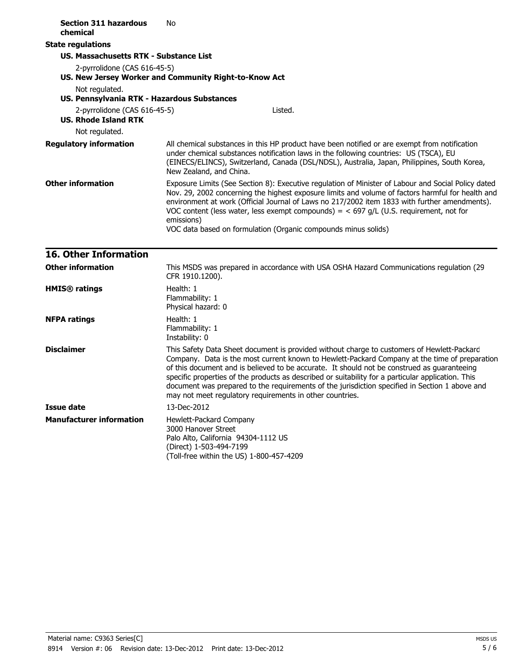| <b>Section 311 hazardous</b><br>chemical                      | No                                                                                                                                                                                                                                                                                                                                                                                                                                                                                                                                                             |
|---------------------------------------------------------------|----------------------------------------------------------------------------------------------------------------------------------------------------------------------------------------------------------------------------------------------------------------------------------------------------------------------------------------------------------------------------------------------------------------------------------------------------------------------------------------------------------------------------------------------------------------|
| <b>State regulations</b>                                      |                                                                                                                                                                                                                                                                                                                                                                                                                                                                                                                                                                |
| US. Massachusetts RTK - Substance List                        |                                                                                                                                                                                                                                                                                                                                                                                                                                                                                                                                                                |
| 2-pyrrolidone (CAS 616-45-5)                                  | US. New Jersey Worker and Community Right-to-Know Act                                                                                                                                                                                                                                                                                                                                                                                                                                                                                                          |
| Not regulated.<br>US. Pennsylvania RTK - Hazardous Substances |                                                                                                                                                                                                                                                                                                                                                                                                                                                                                                                                                                |
| 2-pyrrolidone (CAS 616-45-5)<br><b>US. Rhode Island RTK</b>   | Listed.                                                                                                                                                                                                                                                                                                                                                                                                                                                                                                                                                        |
| Not regulated.                                                |                                                                                                                                                                                                                                                                                                                                                                                                                                                                                                                                                                |
| <b>Regulatory information</b>                                 | All chemical substances in this HP product have been notified or are exempt from notification<br>under chemical substances notification laws in the following countries: US (TSCA), EU<br>(EINECS/ELINCS), Switzerland, Canada (DSL/NDSL), Australia, Japan, Philippines, South Korea,<br>New Zealand, and China.                                                                                                                                                                                                                                              |
| <b>Other information</b>                                      | Exposure Limits (See Section 8): Executive regulation of Minister of Labour and Social Policy dated<br>Nov. 29, 2002 concerning the highest exposure limits and volume of factors harmful for health and<br>environment at work (Official Journal of Laws no 217/2002 item 1833 with further amendments).<br>VOC content (less water, less exempt compounds) = $<$ 697 g/L (U.S. requirement, not for<br>emissions)                                                                                                                                            |
|                                                               | VOC data based on formulation (Organic compounds minus solids)                                                                                                                                                                                                                                                                                                                                                                                                                                                                                                 |
| <b>16. Other Information</b>                                  |                                                                                                                                                                                                                                                                                                                                                                                                                                                                                                                                                                |
| <b>Other information</b>                                      | This MSDS was prepared in accordance with USA OSHA Hazard Communications regulation (29<br>CFR 1910.1200).                                                                                                                                                                                                                                                                                                                                                                                                                                                     |
| <b>HMIS®</b> ratings                                          | Health: 1<br>Flammability: 1<br>Physical hazard: 0                                                                                                                                                                                                                                                                                                                                                                                                                                                                                                             |
| <b>NFPA ratings</b>                                           | Health: 1<br>Flammability: 1<br>Instability: 0                                                                                                                                                                                                                                                                                                                                                                                                                                                                                                                 |
| <b>Disclaimer</b>                                             | This Safety Data Sheet document is provided without charge to customers of Hewlett-Packard<br>Company. Data is the most current known to Hewlett-Packard Company at the time of preparation<br>of this document and is believed to be accurate. It should not be construed as guaranteeing<br>specific properties of the products as described or suitability for a particular application. This<br>document was prepared to the requirements of the jurisdiction specified in Section 1 above and<br>may not meet regulatory requirements in other countries. |
| <b>Issue date</b>                                             | 13-Dec-2012                                                                                                                                                                                                                                                                                                                                                                                                                                                                                                                                                    |
| <b>Manufacturer information</b>                               | Hewlett-Packard Company<br>3000 Hanover Street<br>Palo Alto, California 94304-1112 US<br>(Direct) 1-503-494-7199<br>(Toll-free within the US) 1-800-457-4209                                                                                                                                                                                                                                                                                                                                                                                                   |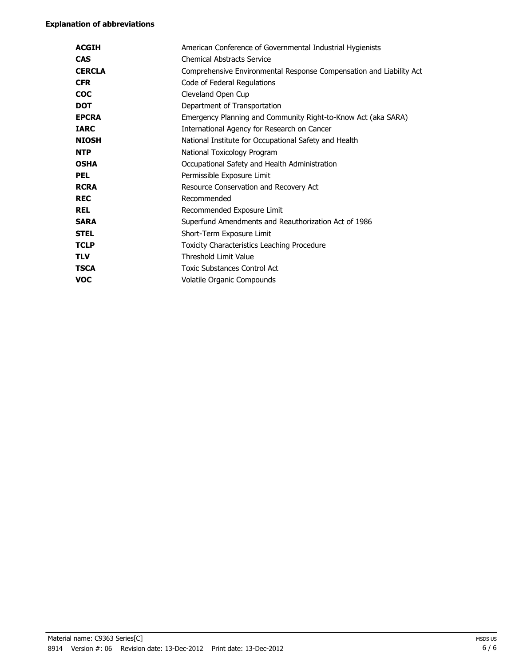### **Explanation of abbreviations**

| <b>ACGIH</b>  | American Conference of Governmental Industrial Hygienists           |
|---------------|---------------------------------------------------------------------|
| <b>CAS</b>    | <b>Chemical Abstracts Service</b>                                   |
| <b>CERCLA</b> | Comprehensive Environmental Response Compensation and Liability Act |
| <b>CFR</b>    | Code of Federal Regulations                                         |
| <b>COC</b>    | Cleveland Open Cup                                                  |
| <b>DOT</b>    | Department of Transportation                                        |
| <b>EPCRA</b>  | Emergency Planning and Community Right-to-Know Act (aka SARA)       |
| <b>IARC</b>   | International Agency for Research on Cancer                         |
| <b>NIOSH</b>  | National Institute for Occupational Safety and Health               |
| <b>NTP</b>    | National Toxicology Program                                         |
| <b>OSHA</b>   | Occupational Safety and Health Administration                       |
| <b>PEL</b>    | Permissible Exposure Limit                                          |
| <b>RCRA</b>   | Resource Conservation and Recovery Act                              |
| <b>REC</b>    | Recommended                                                         |
| <b>REL</b>    | Recommended Exposure Limit                                          |
| <b>SARA</b>   | Superfund Amendments and Reauthorization Act of 1986                |
| <b>STEL</b>   | Short-Term Exposure Limit                                           |
| <b>TCLP</b>   | Toxicity Characteristics Leaching Procedure                         |
| <b>TLV</b>    | <b>Threshold Limit Value</b>                                        |
| <b>TSCA</b>   | <b>Toxic Substances Control Act</b>                                 |
| <b>VOC</b>    | Volatile Organic Compounds                                          |
|               |                                                                     |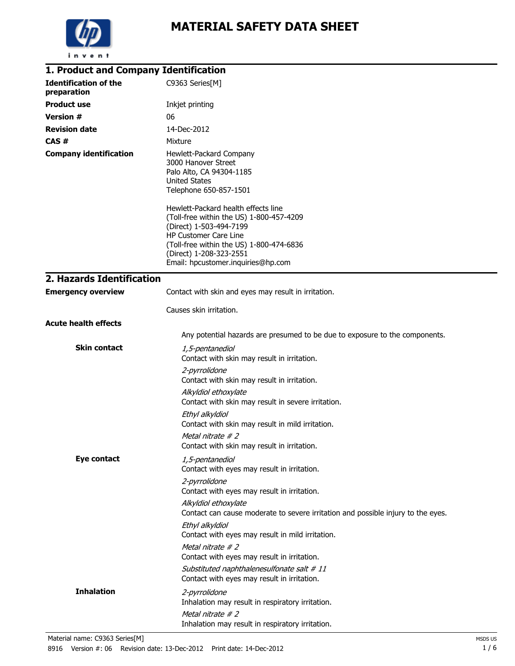

| 1. Product and Company Identification       |                                                                                                                                                                                                                                                                     |
|---------------------------------------------|---------------------------------------------------------------------------------------------------------------------------------------------------------------------------------------------------------------------------------------------------------------------|
| <b>Identification of the</b><br>preparation | C9363 Series[M]                                                                                                                                                                                                                                                     |
| <b>Product use</b>                          | Inkjet printing                                                                                                                                                                                                                                                     |
| <b>Version #</b>                            | 06                                                                                                                                                                                                                                                                  |
| <b>Revision date</b>                        | 14-Dec-2012                                                                                                                                                                                                                                                         |
| CAS#                                        | Mixture                                                                                                                                                                                                                                                             |
| <b>Company identification</b>               | Hewlett-Packard Company<br>3000 Hanover Street<br>Palo Alto, CA 94304-1185<br><b>United States</b><br>Telephone 650-857-1501<br>Hewlett-Packard health effects line<br>(Toll-free within the US) 1-800-457-4209<br>(Direct) 1-503-494-7199<br>HP Customer Care Line |
|                                             | (Toll-free within the US) 1-800-474-6836                                                                                                                                                                                                                            |
|                                             | (Direct) 1-208-323-2551<br>Email: hpcustomer.inquiries@hp.com                                                                                                                                                                                                       |
|                                             |                                                                                                                                                                                                                                                                     |
| 2. Hazards Identification                   |                                                                                                                                                                                                                                                                     |
| <b>Emergency overview</b>                   | Contact with skin and eyes may result in irritation.                                                                                                                                                                                                                |
|                                             | Causes skin irritation.                                                                                                                                                                                                                                             |
| <b>Acute health effects</b>                 |                                                                                                                                                                                                                                                                     |
|                                             | Any potential hazards are presumed to be due to exposure to the components.                                                                                                                                                                                         |
| <b>Skin contact</b>                         | 1,5-pentanediol<br>Contact with skin may result in irritation.                                                                                                                                                                                                      |
|                                             | 2-pyrrolidone<br>Contact with skin may result in irritation.                                                                                                                                                                                                        |
|                                             | Alkyldiol ethoxylate<br>Contact with skin may result in severe irritation.                                                                                                                                                                                          |
|                                             | Ethyl alkyldiol<br>Contact with skin may result in mild irritation.                                                                                                                                                                                                 |
|                                             | Metal nitrate $# 2$<br>Contact with skin may result in irritation.                                                                                                                                                                                                  |
| Eye contact                                 | 1,5-pentanediol<br>Contact with eyes may result in irritation.                                                                                                                                                                                                      |
|                                             | 2-pyrrolidone<br>Contact with eyes may result in irritation.                                                                                                                                                                                                        |
|                                             | Alkyldiol ethoxylate<br>Contact can cause moderate to severe irritation and possible injury to the eyes.                                                                                                                                                            |
|                                             | Ethyl alkyldiol<br>Contact with eyes may result in mild irritation.                                                                                                                                                                                                 |
|                                             | Metal nitrate # 2<br>Contact with eyes may result in irritation.                                                                                                                                                                                                    |
|                                             | Substituted naphthalenesulfonate salt #11<br>Contact with eyes may result in irritation.                                                                                                                                                                            |
| <b>Inhalation</b>                           | 2-pyrrolidone<br>Inhalation may result in respiratory irritation.                                                                                                                                                                                                   |
|                                             | Metal nitrate #2<br>Inhalation may result in respiratory irritation.                                                                                                                                                                                                |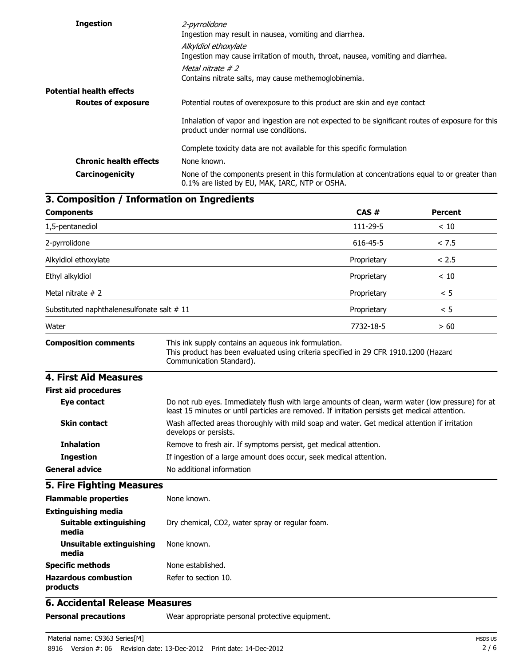| <b>Ingestion</b>                | 2-pyrrolidone<br>Ingestion may result in nausea, vomiting and diarrhea.                                                                         |
|---------------------------------|-------------------------------------------------------------------------------------------------------------------------------------------------|
|                                 | Alkyldiol ethoxylate<br>Ingestion may cause irritation of mouth, throat, nausea, vomiting and diarrhea.                                         |
|                                 | Metal nitrate #2<br>Contains nitrate salts, may cause methemoglobinemia.                                                                        |
| <b>Potential health effects</b> |                                                                                                                                                 |
| <b>Routes of exposure</b>       | Potential routes of overexposure to this product are skin and eye contact                                                                       |
|                                 | Inhalation of vapor and ingestion are not expected to be significant routes of exposure for this<br>product under normal use conditions.        |
|                                 | Complete toxicity data are not available for this specific formulation                                                                          |
| <b>Chronic health effects</b>   | None known.                                                                                                                                     |
| <b>Carcinogenicity</b>          | None of the components present in this formulation at concentrations equal to or greater than<br>0.1% are listed by EU, MAK, IARC, NTP or OSHA. |

| 3. Composition / Information on Ingredients |                                                                                                                                                                                                    |             |                |
|---------------------------------------------|----------------------------------------------------------------------------------------------------------------------------------------------------------------------------------------------------|-------------|----------------|
| <b>Components</b>                           |                                                                                                                                                                                                    | CAS#        | <b>Percent</b> |
| 1,5-pentanediol                             |                                                                                                                                                                                                    | 111-29-5    | < 10           |
| 2-pyrrolidone                               |                                                                                                                                                                                                    | 616-45-5    | < 7.5          |
| Alkyldiol ethoxylate                        |                                                                                                                                                                                                    | Proprietary | < 2.5          |
| Ethyl alkyldiol                             |                                                                                                                                                                                                    | Proprietary | < 10           |
| Metal nitrate $# 2$                         |                                                                                                                                                                                                    | Proprietary | < 5            |
| Substituted naphthalenesulfonate salt # 11  |                                                                                                                                                                                                    | Proprietary | < 5            |
| Water                                       |                                                                                                                                                                                                    | 7732-18-5   | > 60           |
| <b>Composition comments</b>                 | This ink supply contains an aqueous ink formulation.<br>This product has been evaluated using criteria specified in 29 CFR 1910.1200 (Hazard<br>Communication Standard).                           |             |                |
| 4. First Aid Measures                       |                                                                                                                                                                                                    |             |                |
| <b>First aid procedures</b>                 |                                                                                                                                                                                                    |             |                |
| Eye contact                                 | Do not rub eyes. Immediately flush with large amounts of clean, warm water (low pressure) for at<br>least 15 minutes or until particles are removed. If irritation persists get medical attention. |             |                |
| <b>Skin contact</b>                         | Wash affected areas thoroughly with mild soap and water. Get medical attention if irritation<br>develops or persists.                                                                              |             |                |
| <b>Inhalation</b>                           | Remove to fresh air. If symptoms persist, get medical attention.                                                                                                                                   |             |                |
| <b>Ingestion</b>                            | If ingestion of a large amount does occur, seek medical attention.                                                                                                                                 |             |                |
| <b>General advice</b>                       | No additional information                                                                                                                                                                          |             |                |
| <b>5. Fire Fighting Measures</b>            |                                                                                                                                                                                                    |             |                |
| <b>Flammable properties</b>                 | None known.                                                                                                                                                                                        |             |                |
| <b>Extinguishing media</b>                  |                                                                                                                                                                                                    |             |                |
| <b>Suitable extinguishing</b><br>media      | Dry chemical, CO2, water spray or regular foam.                                                                                                                                                    |             |                |
| Unsuitable extinguishing<br>media           | None known.                                                                                                                                                                                        |             |                |
| <b>Specific methods</b>                     | None established.                                                                                                                                                                                  |             |                |

### **6. Accidental Release Measures**

**products**

**Hazardous combustion**

**Personal precautions** Wear appropriate personal protective equipment.

Refer to section 10.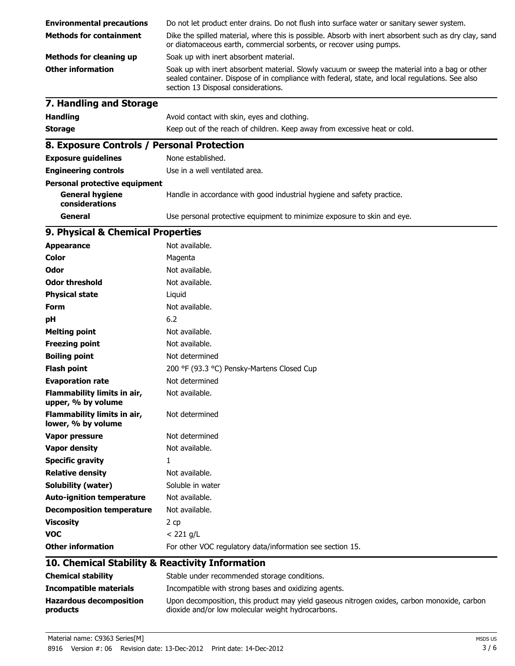| <b>Environmental precautions</b> | Do not let product enter drains. Do not flush into surface water or sanitary sewer system.                                                                                                                                               |
|----------------------------------|------------------------------------------------------------------------------------------------------------------------------------------------------------------------------------------------------------------------------------------|
| <b>Methods for containment</b>   | Dike the spilled material, where this is possible. Absorb with inert absorbent such as dry clay, sand<br>or diatomaceous earth, commercial sorbents, or recover using pumps.                                                             |
| <b>Methods for cleaning up</b>   | Soak up with inert absorbent material.                                                                                                                                                                                                   |
| <b>Other information</b>         | Soak up with inert absorbent material. Slowly vacuum or sweep the material into a bag or other<br>sealed container. Dispose of in compliance with federal, state, and local regulations. See also<br>section 13 Disposal considerations. |
| 7 Handling and Storage           |                                                                                                                                                                                                                                          |

| 7. Hallulliy allu Stviaya |                                                                           |
|---------------------------|---------------------------------------------------------------------------|
| <b>Handling</b>           | Avoid contact with skin, eyes and clothing.                               |
| <b>Storage</b>            | Keep out of the reach of children. Keep away from excessive heat or cold. |

## **8. Exposure Controls / Personal Protection**

| <b>Exposure guidelines</b>               | None established.                                                       |
|------------------------------------------|-------------------------------------------------------------------------|
| <b>Engineering controls</b>              | Use in a well ventilated area.                                          |
| Personal protective equipment            |                                                                         |
| <b>General hygiene</b><br>considerations | Handle in accordance with good industrial hygiene and safety practice.  |
| General                                  | Use personal protective equipment to minimize exposure to skin and eye. |

## **9. Physical & Chemical Properties**

| <b>Appearance</b>                                 | Not available.                                            |
|---------------------------------------------------|-----------------------------------------------------------|
| <b>Color</b>                                      | Magenta                                                   |
| <b>Odor</b>                                       | Not available.                                            |
| <b>Odor threshold</b>                             | Not available.                                            |
| <b>Physical state</b>                             | Liquid                                                    |
| <b>Form</b>                                       | Not available.                                            |
| рH                                                | 6.2                                                       |
| <b>Melting point</b>                              | Not available.                                            |
| <b>Freezing point</b>                             | Not available.                                            |
| <b>Boiling point</b>                              | Not determined                                            |
| <b>Flash point</b>                                | 200 °F (93.3 °C) Pensky-Martens Closed Cup                |
| <b>Evaporation rate</b>                           | Not determined                                            |
| Flammability limits in air,<br>upper, % by volume | Not available.                                            |
| Flammability limits in air,<br>lower, % by volume | Not determined                                            |
| Vapor pressure                                    | Not determined                                            |
| <b>Vapor density</b>                              | Not available.                                            |
| <b>Specific gravity</b>                           | 1                                                         |
| <b>Relative density</b>                           | Not available.                                            |
| <b>Solubility (water)</b>                         | Soluble in water                                          |
| <b>Auto-ignition temperature</b>                  | Not available.                                            |
| <b>Decomposition temperature</b>                  | Not available.                                            |
| <b>Viscosity</b>                                  | 2 cp                                                      |
| <b>VOC</b>                                        | $<$ 221 g/L                                               |
| <b>Other information</b>                          | For other VOC regulatory data/information see section 15. |
|                                                   |                                                           |

### **10. Chemical Stability & Reactivity Information**

| <b>Chemical stability</b>                  | Stable under recommended storage conditions.                                                                                                     |
|--------------------------------------------|--------------------------------------------------------------------------------------------------------------------------------------------------|
| Incompatible materials                     | Incompatible with strong bases and oxidizing agents.                                                                                             |
| <b>Hazardous decomposition</b><br>products | Upon decomposition, this product may yield gaseous nitrogen oxides, carbon monoxide, carbon<br>dioxide and/or low molecular weight hydrocarbons. |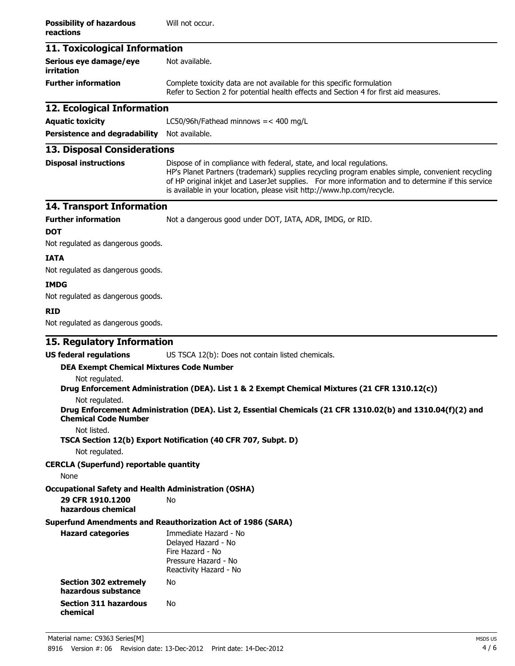| <b>Possibility of hazardous</b><br>reactions                                                                                                                 | Will not occur.                                                                                                                                                                                                                                                                                                                                          |  |
|--------------------------------------------------------------------------------------------------------------------------------------------------------------|----------------------------------------------------------------------------------------------------------------------------------------------------------------------------------------------------------------------------------------------------------------------------------------------------------------------------------------------------------|--|
| 11. Toxicological Information                                                                                                                                |                                                                                                                                                                                                                                                                                                                                                          |  |
| Serious eye damage/eye<br>irritation                                                                                                                         | Not available.                                                                                                                                                                                                                                                                                                                                           |  |
| <b>Further information</b>                                                                                                                                   | Complete toxicity data are not available for this specific formulation<br>Refer to Section 2 for potential health effects and Section 4 for first aid measures.                                                                                                                                                                                          |  |
| 12. Ecological Information                                                                                                                                   |                                                                                                                                                                                                                                                                                                                                                          |  |
| <b>Aquatic toxicity</b>                                                                                                                                      | LC50/96h/Fathead minnows $=< 400$ mg/L                                                                                                                                                                                                                                                                                                                   |  |
| Persistence and degradability Not available.                                                                                                                 |                                                                                                                                                                                                                                                                                                                                                          |  |
| <b>13. Disposal Considerations</b>                                                                                                                           |                                                                                                                                                                                                                                                                                                                                                          |  |
| <b>Disposal instructions</b>                                                                                                                                 | Dispose of in compliance with federal, state, and local regulations.<br>HP's Planet Partners (trademark) supplies recycling program enables simple, convenient recycling<br>of HP original inkjet and LaserJet supplies. For more information and to determine if this service<br>is available in your location, please visit http://www.hp.com/recycle. |  |
| <b>14. Transport Information</b>                                                                                                                             |                                                                                                                                                                                                                                                                                                                                                          |  |
| <b>Further information</b>                                                                                                                                   | Not a dangerous good under DOT, IATA, ADR, IMDG, or RID.                                                                                                                                                                                                                                                                                                 |  |
| <b>DOT</b><br>Not regulated as dangerous goods.                                                                                                              |                                                                                                                                                                                                                                                                                                                                                          |  |
| <b>IATA</b><br>Not regulated as dangerous goods.                                                                                                             |                                                                                                                                                                                                                                                                                                                                                          |  |
| <b>IMDG</b>                                                                                                                                                  |                                                                                                                                                                                                                                                                                                                                                          |  |
| Not regulated as dangerous goods.                                                                                                                            |                                                                                                                                                                                                                                                                                                                                                          |  |
| <b>RID</b>                                                                                                                                                   |                                                                                                                                                                                                                                                                                                                                                          |  |
| Not regulated as dangerous goods.                                                                                                                            |                                                                                                                                                                                                                                                                                                                                                          |  |
| 15. Regulatory Information                                                                                                                                   |                                                                                                                                                                                                                                                                                                                                                          |  |
| <b>US federal regulations</b>                                                                                                                                | US TSCA 12(b): Does not contain listed chemicals.                                                                                                                                                                                                                                                                                                        |  |
| <b>DEA Exempt Chemical Mixtures Code Number</b>                                                                                                              |                                                                                                                                                                                                                                                                                                                                                          |  |
| Not regulated.                                                                                                                                               | Drug Enforcement Administration (DEA). List 1 & 2 Exempt Chemical Mixtures (21 CFR 1310.12(c))                                                                                                                                                                                                                                                           |  |
| Not regulated.<br>Drug Enforcement Administration (DEA). List 2, Essential Chemicals (21 CFR 1310.02(b) and 1310.04(f)(2) and<br><b>Chemical Code Number</b> |                                                                                                                                                                                                                                                                                                                                                          |  |
| Not listed.                                                                                                                                                  | TSCA Section 12(b) Export Notification (40 CFR 707, Subpt. D)                                                                                                                                                                                                                                                                                            |  |
| Not regulated.                                                                                                                                               |                                                                                                                                                                                                                                                                                                                                                          |  |
| <b>CERCLA (Superfund) reportable quantity</b><br>None                                                                                                        |                                                                                                                                                                                                                                                                                                                                                          |  |
| <b>Occupational Safety and Health Administration (OSHA)</b>                                                                                                  |                                                                                                                                                                                                                                                                                                                                                          |  |
| 29 CFR 1910.1200<br>hazardous chemical                                                                                                                       | No                                                                                                                                                                                                                                                                                                                                                       |  |
|                                                                                                                                                              | <b>Superfund Amendments and Reauthorization Act of 1986 (SARA)</b>                                                                                                                                                                                                                                                                                       |  |
| <b>Hazard categories</b>                                                                                                                                     | Immediate Hazard - No<br>Delayed Hazard - No<br>Fire Hazard - No<br>Pressure Hazard - No<br>Reactivity Hazard - No                                                                                                                                                                                                                                       |  |
| <b>Section 302 extremely</b>                                                                                                                                 |                                                                                                                                                                                                                                                                                                                                                          |  |
| hazardous substance                                                                                                                                          | No                                                                                                                                                                                                                                                                                                                                                       |  |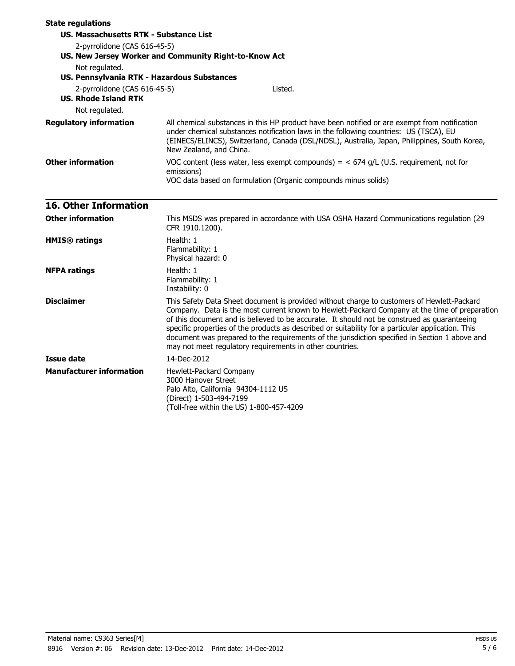| <b>State regulations</b>                                                              |                                                                                                                                                                                                                                                                                                                   |  |  |
|---------------------------------------------------------------------------------------|-------------------------------------------------------------------------------------------------------------------------------------------------------------------------------------------------------------------------------------------------------------------------------------------------------------------|--|--|
| US. Massachusetts RTK - Substance List                                                |                                                                                                                                                                                                                                                                                                                   |  |  |
| 2-pyrrolidone (CAS 616-45-5)<br>US. New Jersey Worker and Community Right-to-Know Act |                                                                                                                                                                                                                                                                                                                   |  |  |
|                                                                                       |                                                                                                                                                                                                                                                                                                                   |  |  |
| US. Pennsylvania RTK - Hazardous Substances                                           |                                                                                                                                                                                                                                                                                                                   |  |  |
| 2-pyrrolidone (CAS 616-45-5)<br><b>US. Rhode Island RTK</b><br>Not regulated.         | Listed.                                                                                                                                                                                                                                                                                                           |  |  |
| <b>Regulatory information</b>                                                         | All chemical substances in this HP product have been notified or are exempt from notification<br>under chemical substances notification laws in the following countries: US (TSCA), EU<br>(EINECS/ELINCS), Switzerland, Canada (DSL/NDSL), Australia, Japan, Philippines, South Korea,<br>New Zealand, and China. |  |  |
| <b>Other information</b>                                                              | VOC content (less water, less exempt compounds) = $<$ 674 g/L (U.S. requirement, not for<br>emissions)<br>VOC data based on formulation (Organic compounds minus solids)                                                                                                                                          |  |  |
| <b>16. Other Information</b>                                                          |                                                                                                                                                                                                                                                                                                                   |  |  |
| <b>Other information</b>                                                              | This MSDS was prepared in accordance with USA OSHA Hazard Communications regulation (29<br>CFR 1910.1200).                                                                                                                                                                                                        |  |  |
| <b>HMIS®</b> ratings                                                                  | Health: 1<br>Flammability: 1<br>Physical hazard: 0                                                                                                                                                                                                                                                                |  |  |
| <b>NFPA ratings</b>                                                                   | Health: 1<br>Flammability: 1<br>Instability: 0                                                                                                                                                                                                                                                                    |  |  |
| <b>Disclaimer</b>                                                                     | This Safety Data Sheet document is provided without charge to customers of Hewlett-Packard<br>Company. Data is the most current known to Hewlett-Packard Company at the time of preparation                                                                                                                       |  |  |

|                                 | of this document and is believed to be accurate. It should not be construed as quaranteeing<br>specific properties of the products as described or suitability for a particular application. This<br>document was prepared to the requirements of the jurisdiction specified in Section 1 above and<br>may not meet regulatory requirements in other countries. |
|---------------------------------|-----------------------------------------------------------------------------------------------------------------------------------------------------------------------------------------------------------------------------------------------------------------------------------------------------------------------------------------------------------------|
| Issue date                      | 14-Dec-2012                                                                                                                                                                                                                                                                                                                                                     |
| <b>Manufacturer information</b> | Hewlett-Packard Company<br>3000 Hanover Street<br>Palo Alto, California 94304-1112 US<br>(Direct) 1-503-494-7199                                                                                                                                                                                                                                                |

(Toll-free within the US) 1-800-457-4209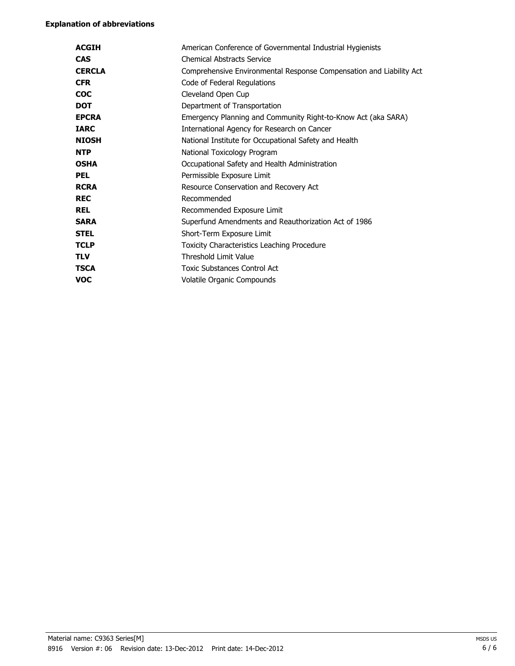### **Explanation of abbreviations**

| <b>ACGIH</b>  | American Conference of Governmental Industrial Hygienists           |
|---------------|---------------------------------------------------------------------|
| <b>CAS</b>    | <b>Chemical Abstracts Service</b>                                   |
| <b>CERCLA</b> | Comprehensive Environmental Response Compensation and Liability Act |
| <b>CFR</b>    | Code of Federal Regulations                                         |
| <b>COC</b>    | Cleveland Open Cup                                                  |
| <b>DOT</b>    | Department of Transportation                                        |
| <b>EPCRA</b>  | Emergency Planning and Community Right-to-Know Act (aka SARA)       |
| <b>IARC</b>   | International Agency for Research on Cancer                         |
| <b>NIOSH</b>  | National Institute for Occupational Safety and Health               |
| <b>NTP</b>    | National Toxicology Program                                         |
| <b>OSHA</b>   | Occupational Safety and Health Administration                       |
| <b>PEL</b>    | Permissible Exposure Limit                                          |
| <b>RCRA</b>   | Resource Conservation and Recovery Act                              |
| <b>REC</b>    | Recommended                                                         |
| <b>REL</b>    | Recommended Exposure Limit                                          |
| <b>SARA</b>   | Superfund Amendments and Reauthorization Act of 1986                |
| <b>STEL</b>   | Short-Term Exposure Limit                                           |
| <b>TCLP</b>   | Toxicity Characteristics Leaching Procedure                         |
| <b>TLV</b>    | <b>Threshold Limit Value</b>                                        |
| <b>TSCA</b>   | <b>Toxic Substances Control Act</b>                                 |
| <b>VOC</b>    | Volatile Organic Compounds                                          |
|               |                                                                     |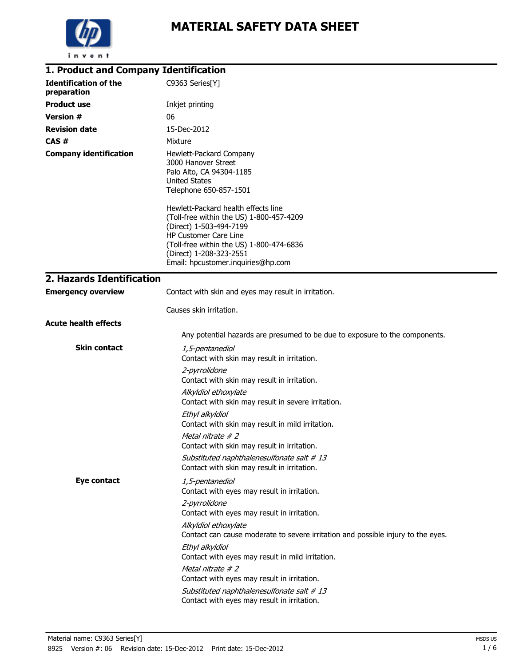

| 1. Product and Company Identification       |                                                                                                                                                                                                                                                  |
|---------------------------------------------|--------------------------------------------------------------------------------------------------------------------------------------------------------------------------------------------------------------------------------------------------|
| <b>Identification of the</b><br>preparation | C9363 Series[Y]                                                                                                                                                                                                                                  |
| <b>Product use</b>                          | Inkjet printing                                                                                                                                                                                                                                  |
| <b>Version #</b>                            | 06                                                                                                                                                                                                                                               |
| <b>Revision date</b>                        | 15-Dec-2012                                                                                                                                                                                                                                      |
| CAS#                                        | Mixture                                                                                                                                                                                                                                          |
| <b>Company identification</b>               | Hewlett-Packard Company<br>3000 Hanover Street<br>Palo Alto, CA 94304-1185<br><b>United States</b><br>Telephone 650-857-1501                                                                                                                     |
|                                             | Hewlett-Packard health effects line<br>(Toll-free within the US) 1-800-457-4209<br>(Direct) 1-503-494-7199<br>HP Customer Care Line<br>(Toll-free within the US) 1-800-474-6836<br>(Direct) 1-208-323-2551<br>Email: hpcustomer.inquiries@hp.com |
| 2. Hazards Identification                   |                                                                                                                                                                                                                                                  |
| <b>Emergency overview</b>                   | Contact with skin and eyes may result in irritation.                                                                                                                                                                                             |
|                                             | Causes skin irritation.                                                                                                                                                                                                                          |
| <b>Acute health effects</b>                 |                                                                                                                                                                                                                                                  |
|                                             | Any potential hazards are presumed to be due to exposure to the components.                                                                                                                                                                      |
| <b>Skin contact</b>                         | 1,5-pentanediol<br>Contact with skin may result in irritation.                                                                                                                                                                                   |
|                                             | 2-pyrrolidone<br>Contact with skin may result in irritation.                                                                                                                                                                                     |
|                                             | Alkyldiol ethoxylate<br>Contact with skin may result in severe irritation.                                                                                                                                                                       |
|                                             | Ethyl alkyldiol<br>Contact with skin may result in mild irritation.                                                                                                                                                                              |
|                                             | Metal nitrate #2<br>Contact with skin may result in irritation.                                                                                                                                                                                  |
|                                             | Substituted naphthalenesulfonate salt #13<br>Contact with skin may result in irritation.                                                                                                                                                         |
| Eye contact                                 | 1,5-pentanediol<br>Contact with eyes may result in irritation.                                                                                                                                                                                   |
|                                             | 2-pyrrolidone<br>Contact with eyes may result in irritation.                                                                                                                                                                                     |
|                                             | Alkyldiol ethoxylate<br>Contact can cause moderate to severe irritation and possible injury to the eyes.                                                                                                                                         |
|                                             | Ethyl alkyldiol<br>Contact with eyes may result in mild irritation.                                                                                                                                                                              |
|                                             | Metal nitrate #2<br>Contact with eyes may result in irritation.                                                                                                                                                                                  |
|                                             | Substituted naphthalenesulfonate salt #13<br>Contact with eyes may result in irritation.                                                                                                                                                         |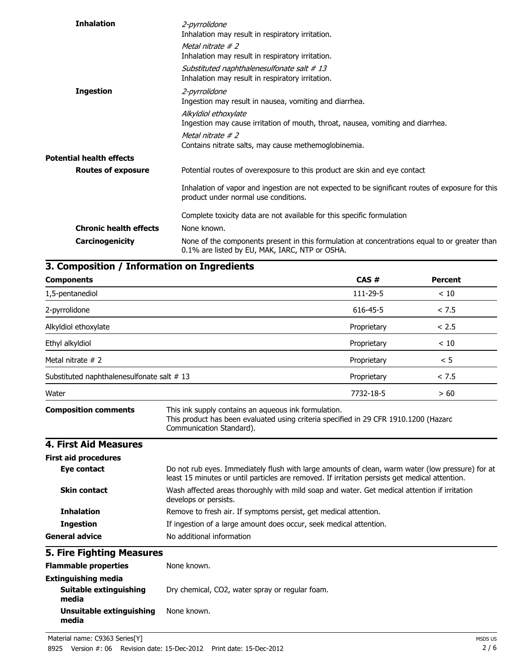| <b>Inhalation</b>               | 2-pyrrolidone<br>Inhalation may result in respiratory irritation.                                                                               |
|---------------------------------|-------------------------------------------------------------------------------------------------------------------------------------------------|
|                                 | Metal nitrate # 2<br>Inhalation may result in respiratory irritation.                                                                           |
|                                 | Substituted naphthalenesulfonate salt #13<br>Inhalation may result in respiratory irritation.                                                   |
| <b>Ingestion</b>                | 2-pyrrolidone<br>Ingestion may result in nausea, vomiting and diarrhea.                                                                         |
|                                 | Alkyldiol ethoxylate<br>Ingestion may cause irritation of mouth, throat, nausea, vomiting and diarrhea.                                         |
|                                 | Metal nitrate $# 2$<br>Contains nitrate salts, may cause methemoglobinemia.                                                                     |
| <b>Potential health effects</b> |                                                                                                                                                 |
| <b>Routes of exposure</b>       | Potential routes of overexposure to this product are skin and eye contact                                                                       |
|                                 | Inhalation of vapor and ingestion are not expected to be significant routes of exposure for this<br>product under normal use conditions.        |
|                                 | Complete toxicity data are not available for this specific formulation                                                                          |
| <b>Chronic health effects</b>   | None known.                                                                                                                                     |
| Carcinogenicity                 | None of the components present in this formulation at concentrations equal to or greater than<br>0.1% are listed by EU, MAK, IARC, NTP or OSHA. |

# **3. Composition / Information on Ingredients**

| <b>Components</b>                          |                                                                                                                                                                          | CAS#                                                                                                                                                                                               | <b>Percent</b> |
|--------------------------------------------|--------------------------------------------------------------------------------------------------------------------------------------------------------------------------|----------------------------------------------------------------------------------------------------------------------------------------------------------------------------------------------------|----------------|
| 1,5-pentanediol                            |                                                                                                                                                                          | 111-29-5                                                                                                                                                                                           | < 10           |
| 2-pyrrolidone                              |                                                                                                                                                                          | 616-45-5                                                                                                                                                                                           | < 7.5          |
| Alkyldiol ethoxylate                       |                                                                                                                                                                          | Proprietary                                                                                                                                                                                        | < 2.5          |
| Ethyl alkyldiol                            |                                                                                                                                                                          | Proprietary                                                                                                                                                                                        | < 10           |
| Metal nitrate $# 2$                        |                                                                                                                                                                          | Proprietary                                                                                                                                                                                        | < 5            |
| Substituted naphthalenesulfonate salt # 13 |                                                                                                                                                                          | Proprietary                                                                                                                                                                                        | < 7.5          |
| Water                                      |                                                                                                                                                                          | 7732-18-5                                                                                                                                                                                          | >60            |
| <b>Composition comments</b>                | This ink supply contains an aqueous ink formulation.<br>This product has been evaluated using criteria specified in 29 CFR 1910.1200 (Hazard<br>Communication Standard). |                                                                                                                                                                                                    |                |
| <b>4. First Aid Measures</b>               |                                                                                                                                                                          |                                                                                                                                                                                                    |                |
| <b>First aid procedures</b>                |                                                                                                                                                                          |                                                                                                                                                                                                    |                |
| Eye contact                                |                                                                                                                                                                          | Do not rub eyes. Immediately flush with large amounts of clean, warm water (low pressure) for at<br>least 15 minutes or until particles are removed. If irritation persists get medical attention. |                |
| <b>Skin contact</b>                        | Wash affected areas thoroughly with mild soap and water. Get medical attention if irritation<br>develops or persists.                                                    |                                                                                                                                                                                                    |                |
| <b>Inhalation</b>                          | Remove to fresh air. If symptoms persist, get medical attention.                                                                                                         |                                                                                                                                                                                                    |                |
| <b>Ingestion</b>                           | If ingestion of a large amount does occur, seek medical attention.                                                                                                       |                                                                                                                                                                                                    |                |
| <b>General advice</b>                      | No additional information                                                                                                                                                |                                                                                                                                                                                                    |                |
| <b>5. Fire Fighting Measures</b>           |                                                                                                                                                                          |                                                                                                                                                                                                    |                |
| <b>Flammable properties</b>                | None known.                                                                                                                                                              |                                                                                                                                                                                                    |                |
| <b>Extinguishing media</b>                 |                                                                                                                                                                          |                                                                                                                                                                                                    |                |
| Suitable extinguishing<br>media            | Dry chemical, CO2, water spray or regular foam.                                                                                                                          |                                                                                                                                                                                                    |                |

**Unsuitable extinguishing** None known.

**media**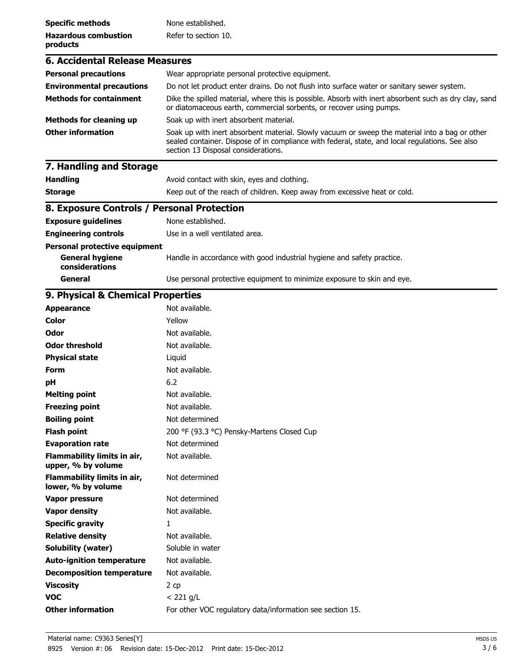| <b>Specific methods</b>                                                          | None established.                                                                                                                                                                                                                        |
|----------------------------------------------------------------------------------|------------------------------------------------------------------------------------------------------------------------------------------------------------------------------------------------------------------------------------------|
| <b>Hazardous combustion</b><br>products                                          | Refer to section 10.                                                                                                                                                                                                                     |
| <b>6. Accidental Release Measures</b>                                            |                                                                                                                                                                                                                                          |
| <b>Personal precautions</b>                                                      | Wear appropriate personal protective equipment.                                                                                                                                                                                          |
| <b>Environmental precautions</b>                                                 | Do not let product enter drains. Do not flush into surface water or sanitary sewer system.                                                                                                                                               |
| <b>Methods for containment</b>                                                   | Dike the spilled material, where this is possible. Absorb with inert absorbent such as dry clay, sand<br>or diatomaceous earth, commercial sorbents, or recover using pumps.                                                             |
| <b>Methods for cleaning up</b>                                                   | Soak up with inert absorbent material.                                                                                                                                                                                                   |
| <b>Other information</b>                                                         | Soak up with inert absorbent material. Slowly vacuum or sweep the material into a bag or other<br>sealed container. Dispose of in compliance with federal, state, and local regulations. See also<br>section 13 Disposal considerations. |
| 7. Handling and Storage                                                          |                                                                                                                                                                                                                                          |
| <b>Handling</b>                                                                  | Avoid contact with skin, eyes and clothing.                                                                                                                                                                                              |
| <b>Storage</b>                                                                   | Keep out of the reach of children. Keep away from excessive heat or cold.                                                                                                                                                                |
| 8. Exposure Controls / Personal Protection                                       |                                                                                                                                                                                                                                          |
| <b>Exposure guidelines</b>                                                       | None established.                                                                                                                                                                                                                        |
| <b>Engineering controls</b>                                                      | Use in a well ventilated area.                                                                                                                                                                                                           |
| <b>Personal protective equipment</b><br><b>General hygiene</b><br>considerations | Handle in accordance with good industrial hygiene and safety practice.                                                                                                                                                                   |
| General                                                                          | Use personal protective equipment to minimize exposure to skin and eye.                                                                                                                                                                  |
| 9. Physical & Chemical Properties                                                |                                                                                                                                                                                                                                          |
| <b>Appearance</b>                                                                | Not available.                                                                                                                                                                                                                           |
| <b>Color</b>                                                                     | Yellow                                                                                                                                                                                                                                   |
| Odor                                                                             | Not available.                                                                                                                                                                                                                           |
| <b>Odor threshold</b>                                                            | Not available.                                                                                                                                                                                                                           |
| <b>Physical state</b>                                                            | Liquid                                                                                                                                                                                                                                   |
| Form                                                                             | Not available.                                                                                                                                                                                                                           |
| pН                                                                               | 6.2                                                                                                                                                                                                                                      |
| <b>Melting point</b>                                                             | Not available.                                                                                                                                                                                                                           |
| <b>Freezing point</b>                                                            | Not available.                                                                                                                                                                                                                           |
| <b>Boiling point</b>                                                             | Not determined                                                                                                                                                                                                                           |
| <b>Flash point</b>                                                               | 200 °F (93.3 °C) Pensky-Martens Closed Cup                                                                                                                                                                                               |
| <b>Evaporation rate</b>                                                          | Not determined                                                                                                                                                                                                                           |
| Flammability limits in air,<br>upper, % by volume                                | Not available.                                                                                                                                                                                                                           |
| Flammability limits in air,<br>lower, % by volume                                | Not determined                                                                                                                                                                                                                           |
| <b>Vapor pressure</b>                                                            | Not determined                                                                                                                                                                                                                           |
| <b>Vapor density</b>                                                             | Not available.                                                                                                                                                                                                                           |
| <b>Specific gravity</b>                                                          | 1                                                                                                                                                                                                                                        |
| <b>Relative density</b>                                                          | Not available.                                                                                                                                                                                                                           |
| <b>Solubility (water)</b>                                                        | Soluble in water                                                                                                                                                                                                                         |
| <b>Auto-ignition temperature</b>                                                 | Not available.                                                                                                                                                                                                                           |
| <b>Decomposition temperature</b>                                                 | Not available.                                                                                                                                                                                                                           |
| <b>Viscosity</b>                                                                 | 2 cp                                                                                                                                                                                                                                     |
| <b>VOC</b>                                                                       | $< 221$ g/L                                                                                                                                                                                                                              |
| <b>Other information</b>                                                         | For other VOC regulatory data/information see section 15.                                                                                                                                                                                |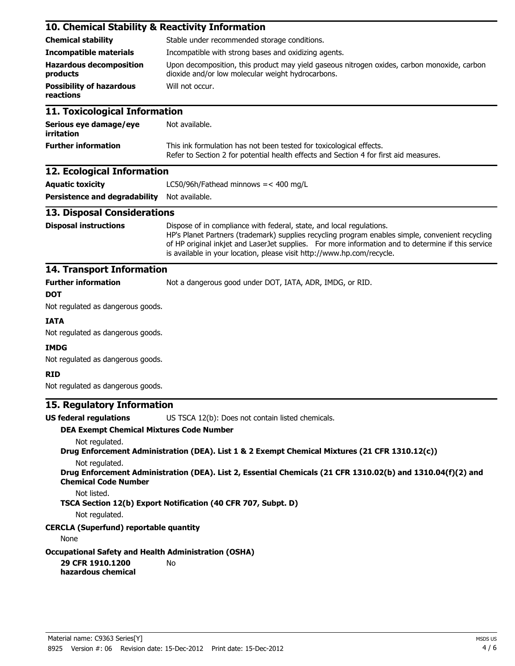| 10. Chemical Stability & Reactivity Information                                                                               |                                                                                                                                                                                                                                                                                                                                                          |  |
|-------------------------------------------------------------------------------------------------------------------------------|----------------------------------------------------------------------------------------------------------------------------------------------------------------------------------------------------------------------------------------------------------------------------------------------------------------------------------------------------------|--|
| <b>Chemical stability</b>                                                                                                     | Stable under recommended storage conditions.                                                                                                                                                                                                                                                                                                             |  |
| <b>Incompatible materials</b>                                                                                                 | Incompatible with strong bases and oxidizing agents.                                                                                                                                                                                                                                                                                                     |  |
| <b>Hazardous decomposition</b><br>products                                                                                    | Upon decomposition, this product may yield gaseous nitrogen oxides, carbon monoxide, carbon<br>dioxide and/or low molecular weight hydrocarbons.                                                                                                                                                                                                         |  |
| <b>Possibility of hazardous</b><br>reactions                                                                                  | Will not occur.                                                                                                                                                                                                                                                                                                                                          |  |
| 11. Toxicological Information                                                                                                 |                                                                                                                                                                                                                                                                                                                                                          |  |
| Serious eye damage/eye<br>irritation                                                                                          | Not available.                                                                                                                                                                                                                                                                                                                                           |  |
| <b>Further information</b>                                                                                                    | This ink formulation has not been tested for toxicological effects.<br>Refer to Section 2 for potential health effects and Section 4 for first aid measures.                                                                                                                                                                                             |  |
| 12. Ecological Information                                                                                                    |                                                                                                                                                                                                                                                                                                                                                          |  |
| <b>Aquatic toxicity</b>                                                                                                       | LC50/96h/Fathead minnows $=< 400$ mg/L                                                                                                                                                                                                                                                                                                                   |  |
| Persistence and degradability Not available.                                                                                  |                                                                                                                                                                                                                                                                                                                                                          |  |
| 13. Disposal Considerations                                                                                                   |                                                                                                                                                                                                                                                                                                                                                          |  |
| <b>Disposal instructions</b>                                                                                                  | Dispose of in compliance with federal, state, and local regulations.<br>HP's Planet Partners (trademark) supplies recycling program enables simple, convenient recycling<br>of HP original inkjet and LaserJet supplies. For more information and to determine if this service<br>is available in your location, please visit http://www.hp.com/recycle. |  |
| <b>14. Transport Information</b>                                                                                              |                                                                                                                                                                                                                                                                                                                                                          |  |
| <b>Further information</b><br><b>DOT</b>                                                                                      | Not a dangerous good under DOT, IATA, ADR, IMDG, or RID.                                                                                                                                                                                                                                                                                                 |  |
| Not regulated as dangerous goods.                                                                                             |                                                                                                                                                                                                                                                                                                                                                          |  |
| <b>IATA</b><br>Not regulated as dangerous goods.                                                                              |                                                                                                                                                                                                                                                                                                                                                          |  |
| <b>IMDG</b><br>Not regulated as dangerous goods.                                                                              |                                                                                                                                                                                                                                                                                                                                                          |  |
| <b>RID</b>                                                                                                                    |                                                                                                                                                                                                                                                                                                                                                          |  |
| Not regulated as dangerous goods.                                                                                             |                                                                                                                                                                                                                                                                                                                                                          |  |
| 15. Regulatory Information                                                                                                    |                                                                                                                                                                                                                                                                                                                                                          |  |
| <b>US federal regulations</b>                                                                                                 | US TSCA 12(b): Does not contain listed chemicals.                                                                                                                                                                                                                                                                                                        |  |
| <b>DEA Exempt Chemical Mixtures Code Number</b>                                                                               |                                                                                                                                                                                                                                                                                                                                                          |  |
| Not regulated.                                                                                                                | Drug Enforcement Administration (DEA). List 1 & 2 Exempt Chemical Mixtures (21 CFR 1310.12(c))                                                                                                                                                                                                                                                           |  |
| Not regulated.<br>Drug Enforcement Administration (DEA). List 2, Essential Chemicals (21 CFR 1310.02(b) and 1310.04(f)(2) and |                                                                                                                                                                                                                                                                                                                                                          |  |
| <b>Chemical Code Number</b><br>Not listed.                                                                                    |                                                                                                                                                                                                                                                                                                                                                          |  |
| TSCA Section 12(b) Export Notification (40 CFR 707, Subpt. D)<br>Not regulated.                                               |                                                                                                                                                                                                                                                                                                                                                          |  |
| <b>CERCLA (Superfund) reportable quantity</b>                                                                                 |                                                                                                                                                                                                                                                                                                                                                          |  |
| None                                                                                                                          |                                                                                                                                                                                                                                                                                                                                                          |  |
| <b>Occupational Safety and Health Administration (OSHA)</b><br>29 CFR 1910.1200<br>No<br>hazardous chemical                   |                                                                                                                                                                                                                                                                                                                                                          |  |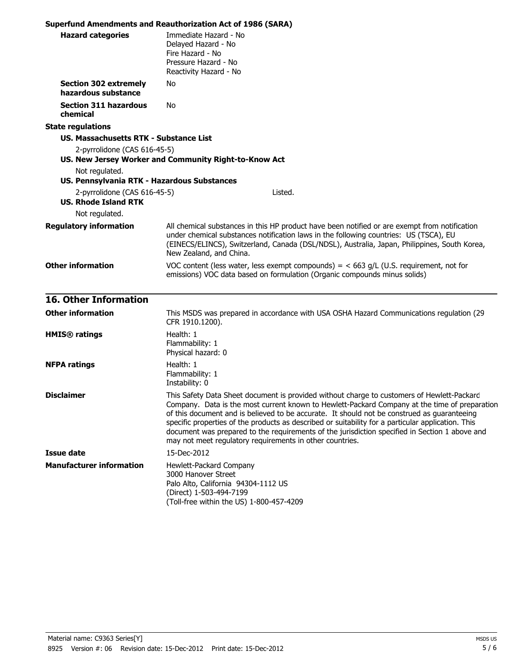|                                                                               | Superfund Amendments and Reauthorization Act of 1986 (SARA)                                                                                                                                                                                                                                                       |
|-------------------------------------------------------------------------------|-------------------------------------------------------------------------------------------------------------------------------------------------------------------------------------------------------------------------------------------------------------------------------------------------------------------|
| <b>Hazard categories</b>                                                      | Immediate Hazard - No<br>Delayed Hazard - No<br>Fire Hazard - No<br>Pressure Hazard - No<br>Reactivity Hazard - No                                                                                                                                                                                                |
| <b>Section 302 extremely</b><br>hazardous substance                           | No                                                                                                                                                                                                                                                                                                                |
| <b>Section 311 hazardous</b><br>chemical                                      | No                                                                                                                                                                                                                                                                                                                |
| <b>State regulations</b>                                                      |                                                                                                                                                                                                                                                                                                                   |
| <b>US. Massachusetts RTK - Substance List</b>                                 |                                                                                                                                                                                                                                                                                                                   |
| 2-pyrrolidone (CAS 616-45-5)                                                  |                                                                                                                                                                                                                                                                                                                   |
|                                                                               | US. New Jersey Worker and Community Right-to-Know Act                                                                                                                                                                                                                                                             |
| Not regulated.                                                                |                                                                                                                                                                                                                                                                                                                   |
| US. Pennsylvania RTK - Hazardous Substances                                   |                                                                                                                                                                                                                                                                                                                   |
| 2-pyrrolidone (CAS 616-45-5)<br><b>US. Rhode Island RTK</b><br>Not regulated. | Listed.                                                                                                                                                                                                                                                                                                           |
|                                                                               |                                                                                                                                                                                                                                                                                                                   |
| <b>Regulatory information</b>                                                 | All chemical substances in this HP product have been notified or are exempt from notification<br>under chemical substances notification laws in the following countries: US (TSCA), EU<br>(EINECS/ELINCS), Switzerland, Canada (DSL/NDSL), Australia, Japan, Philippines, South Korea,<br>New Zealand, and China. |
| <b>Other information</b>                                                      | VOC content (less water, less exempt compounds) = $<$ 663 g/L (U.S. requirement, not for<br>emissions) VOC data based on formulation (Organic compounds minus solids)                                                                                                                                             |

| <b>16. Other Information</b> |                                                                                                                                                                                                                                                                                                                                                                                                                                                                                                                                                                |
|------------------------------|----------------------------------------------------------------------------------------------------------------------------------------------------------------------------------------------------------------------------------------------------------------------------------------------------------------------------------------------------------------------------------------------------------------------------------------------------------------------------------------------------------------------------------------------------------------|
| <b>Other information</b>     | This MSDS was prepared in accordance with USA OSHA Hazard Communications regulation (29)<br>CFR 1910.1200).                                                                                                                                                                                                                                                                                                                                                                                                                                                    |
| <b>HMIS®</b> ratings         | Health: 1<br>Flammability: 1<br>Physical hazard: 0                                                                                                                                                                                                                                                                                                                                                                                                                                                                                                             |
| <b>NFPA ratings</b>          | Health: 1<br>Flammability: 1<br>Instability: 0                                                                                                                                                                                                                                                                                                                                                                                                                                                                                                                 |
| <b>Disclaimer</b>            | This Safety Data Sheet document is provided without charge to customers of Hewlett-Packard<br>Company. Data is the most current known to Hewlett-Packard Company at the time of preparation<br>of this document and is believed to be accurate. It should not be construed as quaranteeing<br>specific properties of the products as described or suitability for a particular application. This<br>document was prepared to the requirements of the jurisdiction specified in Section 1 above and<br>may not meet regulatory requirements in other countries. |
| Issue date                   | 15-Dec-2012                                                                                                                                                                                                                                                                                                                                                                                                                                                                                                                                                    |

**Manufacturer information** Hewlett-Packard Company

3000 Hanover Street

(Direct) 1-503-494-7199

Palo Alto, California 94304-1112 US

(Toll-free within the US) 1-800-457-4209